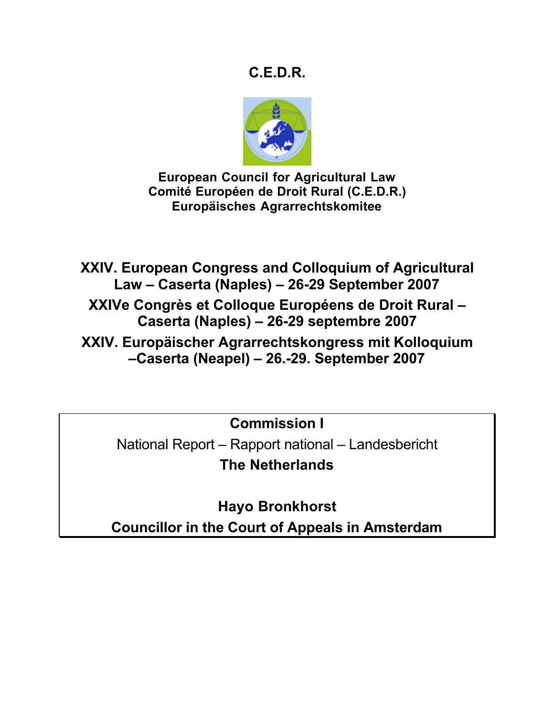# **C.E.D.R.**



**European Council for Agricultural Law Comité Européen de Droit Rural (C.E.D.R.) Europäisches Agrarrechtskomitee**

**XXIV. European Congress and Colloquium of Agricultural Law – Caserta (Naples) – 26-29 September 2007**

**XXIVe Congrès et Colloque Européens de Droit Rural – Caserta (Naples) – 26-29 septembre 2007**

**XXIV. Europäischer Agrarrechtskongress mit Kolloquium –Caserta (Neapel) – 26.-29. September 2007**

**Commission I**

National Report – Rapport national – Landesbericht **The Netherlands**

**Hayo Bronkhorst Councillor in the Court of Appeals in Amsterdam**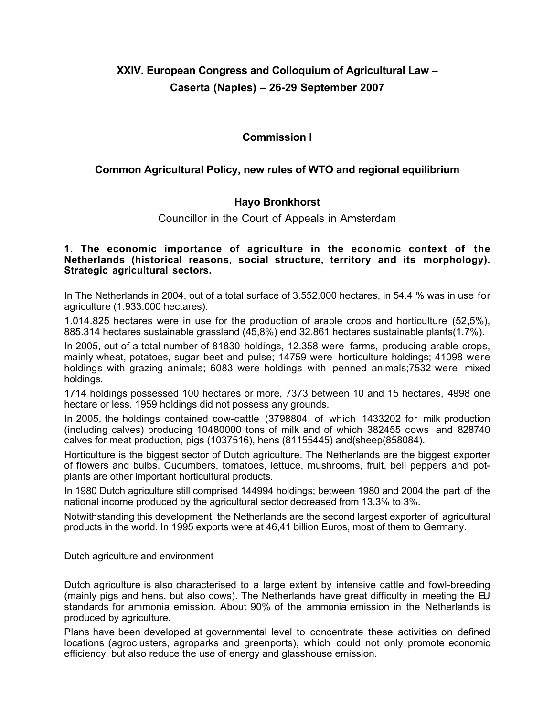## **XXIV. European Congress and Colloquium of Agricultural Law – Caserta (Naples) – 26-29 September 2007**

## **Commission I**

## **Common Agricultural Policy, new rules of WTO and regional equilibrium**

### **Hayo Bronkhorst**

Councillor in the Court of Appeals in Amsterdam

**1. The economic importance of agriculture in the economic context of the Netherlands (historical reasons, social structure, territory and its morphology). Strategic agricultural sectors.**

In The Netherlands in 2004, out of a total surface of 3.552.000 hectares, in 54.4 % was in use for agriculture (1.933.000 hectares).

1.014.825 hectares were in use for the production of arable crops and horticulture (52,5%), 885.314 hectares sustainable grassland (45,8%) end 32.861 hectares sustainable plants(1.7%).

In 2005, out of a total number of 81830 holdings, 12.358 were farms, producing arable crops, mainly wheat, potatoes, sugar beet and pulse; 14759 were horticulture holdings; 41098 were holdings with grazing animals; 6083 were holdings with penned animals;7532 were mixed holdings.

1714 holdings possessed 100 hectares or more, 7373 between 10 and 15 hectares, 4998 one hectare or less. 1959 holdings did not possess any grounds.

In 2005, the holdings contained cow-cattle (3798804, of which 1433202 for milk production (including calves) producing 10480000 tons of milk and of which 382455 cows and 828740 calves for meat production, pigs (1037516), hens (81155445) and(sheep(858084).

Horticulture is the biggest sector of Dutch agriculture. The Netherlands are the biggest exporter of flowers and bulbs. Cucumbers, tomatoes, lettuce, mushrooms, fruit, bell peppers and potplants are other important horticultural products.

In 1980 Dutch agriculture still comprised 144994 holdings; between 1980 and 2004 the part of the national income produced by the agricultural sector decreased from 13.3% to 3%.

Notwithstanding this development, the Netherlands are the second largest exporter of agricultural products in the world. In 1995 exports were at 46,41 billion Euros, most of them to Germany.

Dutch agriculture and environment

Dutch agriculture is also characterised to a large extent by intensive cattle and fowl-breeding (mainly pigs and hens, but also cows). The Netherlands have great difficulty in meeting the EU standards for ammonia emission. About 90% of the ammonia emission in the Netherlands is produced by agriculture.

Plans have been developed at governmental level to concentrate these activities on defined locations (agroclusters, agroparks and greenports), which could not only promote economic efficiency, but also reduce the use of energy and glasshouse emission.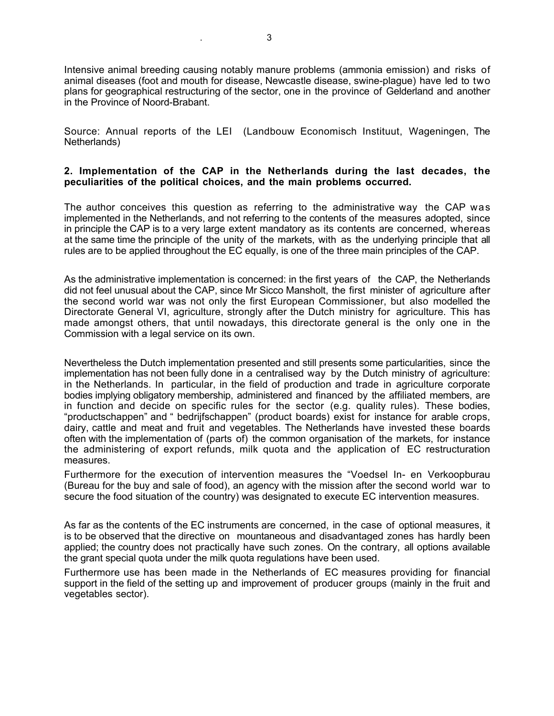Intensive animal breeding causing notably manure problems (ammonia emission) and risks of animal diseases (foot and mouth for disease, Newcastle disease, swine-plague) have led to two plans for geographical restructuring of the sector, one in the province of Gelderland and another in the Province of Noord-Brabant.

Source: Annual reports of the LEI (Landbouw Economisch Instituut, Wageningen, The Netherlands)

#### **2. Implementation of the CAP in the Netherlands during the last decades, the peculiarities of the political choices, and the main problems occurred.**

The author conceives this question as referring to the administrative way the CAP was implemented in the Netherlands, and not referring to the contents of the measures adopted, since in principle the CAP is to a very large extent mandatory as its contents are concerned, whereas at the same time the principle of the unity of the markets, with as the underlying principle that all rules are to be applied throughout the EC equally, is one of the three main principles of the CAP.

As the administrative implementation is concerned: in the first years of the CAP, the Netherlands did not feel unusual about the CAP, since Mr Sicco Mansholt, the first minister of agriculture after the second world war was not only the first European Commissioner, but also modelled the Directorate General VI, agriculture, strongly after the Dutch ministry for agriculture. This has made amongst others, that until nowadays, this directorate general is the only one in the Commission with a legal service on its own.

Nevertheless the Dutch implementation presented and still presents some particularities, since the implementation has not been fully done in a centralised way by the Dutch ministry of agriculture: in the Netherlands. In particular, in the field of production and trade in agriculture corporate bodies implying obligatory membership, administered and financed by the affiliated members, are in function and decide on specific rules for the sector (e.g. quality rules). These bodies, "productschappen" and " bedrijfschappen" (product boards) exist for instance for arable crops, dairy, cattle and meat and fruit and vegetables. The Netherlands have invested these boards often with the implementation of (parts of) the common organisation of the markets, for instance the administering of export refunds, milk quota and the application of EC restructuration measures.

Furthermore for the execution of intervention measures the "Voedsel In- en Verkoopburau (Bureau for the buy and sale of food), an agency with the mission after the second world war to secure the food situation of the country) was designated to execute EC intervention measures.

As far as the contents of the EC instruments are concerned, in the case of optional measures, it is to be observed that the directive on mountaneous and disadvantaged zones has hardly been applied; the country does not practically have such zones. On the contrary, all options available the grant special quota under the milk quota regulations have been used.

Furthermore use has been made in the Netherlands of EC measures providing for financial support in the field of the setting up and improvement of producer groups (mainly in the fruit and vegetables sector).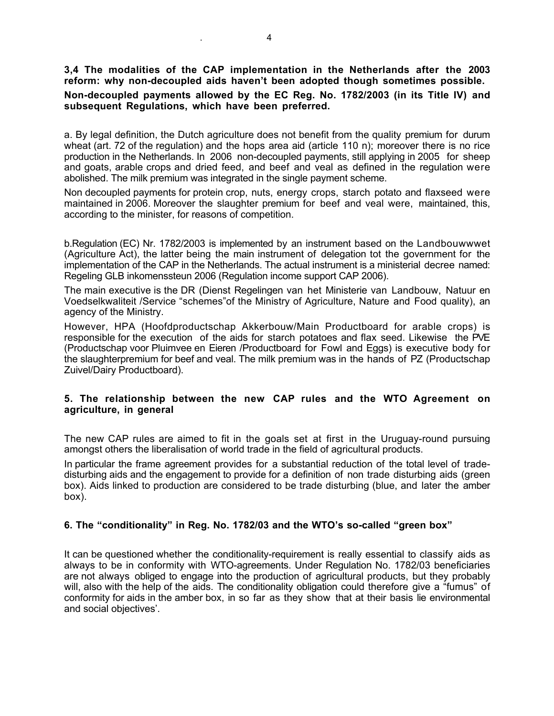## **3,4 The modalities of the CAP implementation in the Netherlands after the 2003 reform: why non-decoupled aids haven't been adopted though sometimes possible.**

#### **Non-decoupled payments allowed by the EC Reg. No. 1782/2003 (in its Title IV) and subsequent Regulations, which have been preferred.**

a. By legal definition, the Dutch agriculture does not benefit from the quality premium for durum wheat (art. 72 of the regulation) and the hops area aid (article 110 n); moreover there is no rice production in the Netherlands. In 2006 non-decoupled payments, still applying in 2005 for sheep and goats, arable crops and dried feed, and beef and veal as defined in the regulation were abolished. The milk premium was integrated in the single payment scheme.

Non decoupled payments for protein crop, nuts, energy crops, starch potato and flaxseed were maintained in 2006. Moreover the slaughter premium for beef and veal were, maintained, this, according to the minister, for reasons of competition.

b.Regulation (EC) Nr. 1782/2003 is implemented by an instrument based on the Landbouwwwet (Agriculture Act), the latter being the main instrument of delegation tot the government for the implementation of the CAP in the Netherlands. The actual instrument is a ministerial decree named: Regeling GLB inkomenssteun 2006 (Regulation income support CAP 2006).

The main executive is the DR (Dienst Regelingen van het Ministerie van Landbouw, Natuur en Voedselkwaliteit /Service "schemes"of the Ministry of Agriculture, Nature and Food quality), an agency of the Ministry.

However, HPA (Hoofdproductschap Akkerbouw/Main Productboard for arable crops) is responsible for the execution of the aids for starch potatoes and flax seed. Likewise the PVE (Productschap voor Pluimvee en Eieren /Productboard for Fowl and Eggs) is executive body for the slaughterpremium for beef and veal. The milk premium was in the hands of PZ (Productschap Zuivel/Dairy Productboard).

#### **5. The relationship between the new CAP rules and the WTO Agreement on agriculture, in general**

The new CAP rules are aimed to fit in the goals set at first in the Uruguay-round pursuing amongst others the liberalisation of world trade in the field of agricultural products.

In particular the frame agreement provides for a substantial reduction of the total level of tradedisturbing aids and the engagement to provide for a definition of non trade disturbing aids (green box). Aids linked to production are considered to be trade disturbing (blue, and later the amber box).

#### **6. The "conditionality" in Reg. No. 1782/03 and the WTO's so-called "green box"**

It can be questioned whether the conditionality-requirement is really essential to classify aids as always to be in conformity with WTO-agreements. Under Regulation No. 1782/03 beneficiaries are not always obliged to engage into the production of agricultural products, but they probably will, also with the help of the aids. The conditionality obligation could therefore give a "fumus" of conformity for aids in the amber box, in so far as they show that at their basis lie environmental and social objectives'.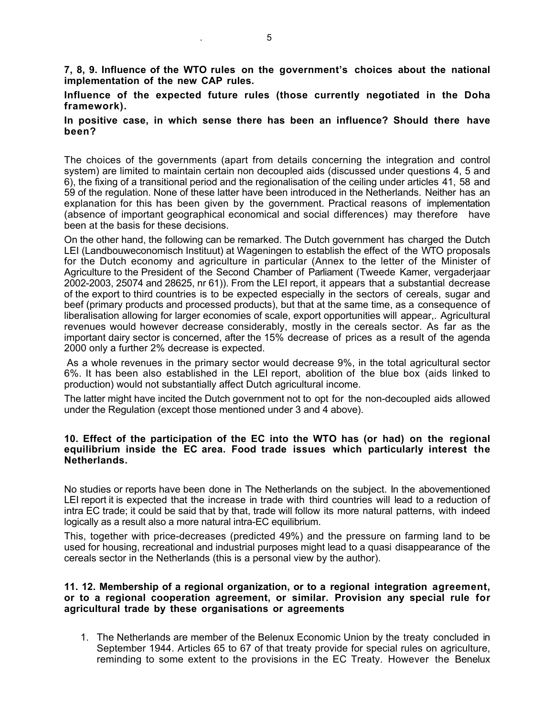**7, 8, 9. Influence of the WTO rules on the government's choices about the national implementation of the new CAP rules.**

**Influence of the expected future rules (those currently negotiated in the Doha framework).**

#### **In positive case, in which sense there has been an influence? Should there have been?**

The choices of the governments (apart from details concerning the integration and control system) are limited to maintain certain non decoupled aids (discussed under questions 4, 5 and 6), the fixing of a transitional period and the regionalisation of the ceiling under articles 41, 58 and 59 of the regulation. None of these latter have been introduced in the Netherlands. Neither has an explanation for this has been given by the government. Practical reasons of implementation (absence of important geographical economical and social differences) may therefore have been at the basis for these decisions.

On the other hand, the following can be remarked. The Dutch government has charged the Dutch LEI (Landbouweconomisch Instituut) at Wageningen to establish the effect of the WTO proposals for the Dutch economy and agriculture in particular (Annex to the letter of the Minister of Agriculture to the President of the Second Chamber of Parliament (Tweede Kamer, vergaderjaar 2002-2003, 25074 and 28625, nr 61)). From the LEI report, it appears that a substantial decrease of the export to third countries is to be expected especially in the sectors of cereals, sugar and beef (primary products and processed products), but that at the same time, as a consequence of liberalisation allowing for larger economies of scale, export opportunities will appear,. Agricultural revenues would however decrease considerably, mostly in the cereals sector. As far as the important dairy sector is concerned, after the 15% decrease of prices as a result of the agenda 2000 only a further 2% decrease is expected.

As a whole revenues in the primary sector would decrease 9%, in the total agricultural sector 6%. It has been also established in the LEI report, abolition of the blue box (aids linked to production) would not substantially affect Dutch agricultural income.

The latter might have incited the Dutch government not to opt for the non-decoupled aids allowed under the Regulation (except those mentioned under 3 and 4 above).

#### **10. Effect of the participation of the EC into the WTO has (or had) on the regional equilibrium inside the EC area. Food trade issues which particularly interest the Netherlands.**

No studies or reports have been done in The Netherlands on the subject. In the abovementioned LEI report it is expected that the increase in trade with third countries will lead to a reduction of intra EC trade; it could be said that by that, trade will follow its more natural patterns, with indeed logically as a result also a more natural intra-EC equilibrium.

This, together with price-decreases (predicted 49%) and the pressure on farming land to be used for housing, recreational and industrial purposes might lead to a quasi disappearance of the cereals sector in the Netherlands (this is a personal view by the author).

#### **11. 12. Membership of a regional organization, or to a regional integration agreement, or to a regional cooperation agreement, or similar. Provision any special rule for agricultural trade by these organisations or agreements**

1. The Netherlands are member of the Belenux Economic Union by the treaty concluded in September 1944. Articles 65 to 67 of that treaty provide for special rules on agriculture, reminding to some extent to the provisions in the EC Treaty. However the Benelux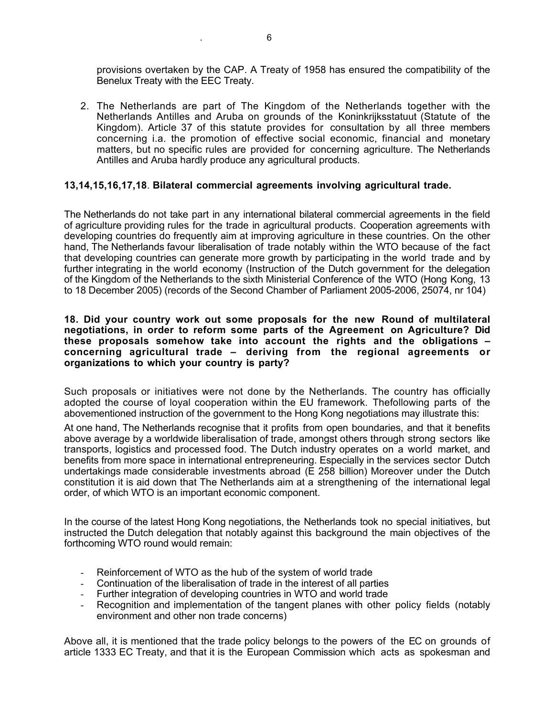provisions overtaken by the CAP. A Treaty of 1958 has ensured the compatibility of the Benelux Treaty with the EEC Treaty.

2. The Netherlands are part of The Kingdom of the Netherlands together with the Netherlands Antilles and Aruba on grounds of the Koninkrijksstatuut (Statute of the Kingdom). Article 37 of this statute provides for consultation by all three members concerning i.a. the promotion of effective social economic, financial and monetary matters, but no specific rules are provided for concerning agriculture. The Netherlands Antilles and Aruba hardly produce any agricultural products.

#### **13,14,15,16,17,18**. **Bilateral commercial agreements involving agricultural trade.**

The Netherlands do not take part in any international bilateral commercial agreements in the field of agriculture providing rules for the trade in agricultural products. Cooperation agreements with developing countries do frequently aim at improving agriculture in these countries. On the other hand, The Netherlands favour liberalisation of trade notably within the WTO because of the fact that developing countries can generate more growth by participating in the world trade and by further integrating in the world economy (Instruction of the Dutch government for the delegation of the Kingdom of the Netherlands to the sixth Ministerial Conference of the WTO (Hong Kong, 13 to 18 December 2005) (records of the Second Chamber of Parliament 2005-2006, 25074, nr 104)

#### **18. Did your country work out some proposals for the new Round of multilateral negotiations, in order to reform some parts of the Agreement on Agriculture? Did these proposals somehow take into account the rights and the obligations – concerning agricultural trade – deriving from the regional agreements or organizations to which your country is party?**

Such proposals or initiatives were not done by the Netherlands. The country has officially adopted the course of loyal cooperation within the EU framework. Thefollowing parts of the abovementioned instruction of the government to the Hong Kong negotiations may illustrate this:

At one hand, The Netherlands recognise that it profits from open boundaries, and that it benefits above average by a worldwide liberalisation of trade, amongst others through strong sectors like transports, logistics and processed food. The Dutch industry operates on a world market, and benefits from more space in international entrepreneuring. Especially in the services sector Dutch undertakings made considerable investments abroad (E 258 billion) Moreover under the Dutch constitution it is aid down that The Netherlands aim at a strengthening of the international legal order, of which WTO is an important economic component.

In the course of the latest Hong Kong negotiations, the Netherlands took no special initiatives, but instructed the Dutch delegation that notably against this background the main objectives of the forthcoming WTO round would remain:

- Reinforcement of WTO as the hub of the system of world trade
- Continuation of the liberalisation of trade in the interest of all parties
- Further integration of developing countries in WTO and world trade
- Recognition and implementation of the tangent planes with other policy fields (notably environment and other non trade concerns)

Above all, it is mentioned that the trade policy belongs to the powers of the EC on grounds of article 1333 EC Treaty, and that it is the European Commission which acts as spokesman and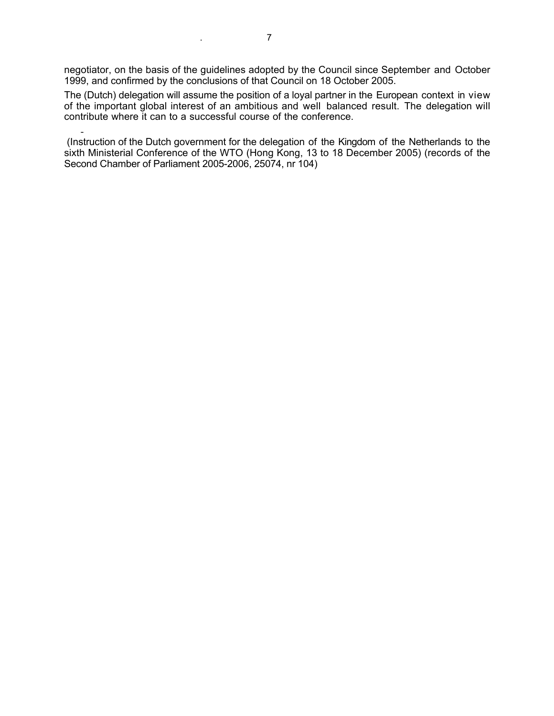negotiator, on the basis of the guidelines adopted by the Council since September and October 1999, and confirmed by the conclusions of that Council on 18 October 2005.

The (Dutch) delegation will assume the position of a loyal partner in the European context in view of the important global interest of an ambitious and well balanced result. The delegation will contribute where it can to a successful course of the conference.

- (Instruction of the Dutch government for the delegation of the Kingdom of the Netherlands to the sixth Ministerial Conference of the WTO (Hong Kong, 13 to 18 December 2005) (records of the Second Chamber of Parliament 2005-2006, 25074, nr 104)